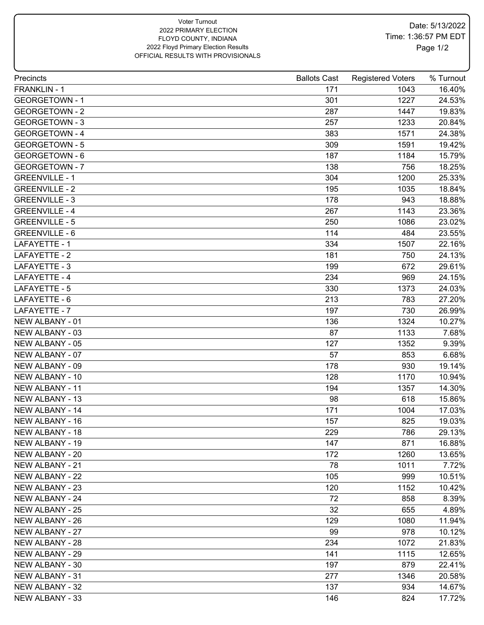## Voter Turnout 2022 PRIMARY ELECTION FLOYD COUNTY, INDIANA 2022 Floyd Primary Election Results OFFICIAL RESULTS WITH PROVISIONALS

| Precincts              | <b>Ballots Cast</b> | <b>Registered Voters</b> | % Turnout |
|------------------------|---------------------|--------------------------|-----------|
| FRANKLIN - 1           | 171                 | 1043                     | 16.40%    |
| <b>GEORGETOWN - 1</b>  | 301                 | 1227                     | 24.53%    |
| <b>GEORGETOWN - 2</b>  | 287                 | 1447                     | 19.83%    |
| <b>GEORGETOWN - 3</b>  | 257                 | 1233                     | 20.84%    |
| <b>GEORGETOWN - 4</b>  | 383                 | 1571                     | 24.38%    |
| <b>GEORGETOWN - 5</b>  | 309                 | 1591                     | 19.42%    |
| <b>GEORGETOWN - 6</b>  | 187                 | 1184                     | 15.79%    |
| <b>GEORGETOWN - 7</b>  | 138                 | 756                      | 18.25%    |
| <b>GREENVILLE - 1</b>  | 304                 | 1200                     | 25.33%    |
| <b>GREENVILLE - 2</b>  | 195                 | 1035                     | 18.84%    |
| <b>GREENVILLE - 3</b>  | 178                 | 943                      | 18.88%    |
| <b>GREENVILLE - 4</b>  | 267                 | 1143                     | 23.36%    |
| <b>GREENVILLE - 5</b>  | 250                 | 1086                     | 23.02%    |
| <b>GREENVILLE - 6</b>  | 114                 | 484                      | 23.55%    |
| LAFAYETTE - 1          | 334                 | 1507                     | 22.16%    |
| LAFAYETTE - 2          | 181                 | 750                      | 24.13%    |
| LAFAYETTE - 3          | 199                 | 672                      | 29.61%    |
| LAFAYETTE - 4          | 234                 | 969                      | 24.15%    |
| LAFAYETTE - 5          | 330                 | 1373                     | 24.03%    |
| LAFAYETTE - 6          | 213                 | 783                      | 27.20%    |
| LAFAYETTE - 7          | 197                 | 730                      | 26.99%    |
| NEW ALBANY - 01        | 136                 | 1324                     | 10.27%    |
| NEW ALBANY - 03        | 87                  | 1133                     | 7.68%     |
| NEW ALBANY - 05        | 127                 | 1352                     | 9.39%     |
| NEW ALBANY - 07        | 57                  | 853                      | 6.68%     |
| NEW ALBANY - 09        | 178                 | 930                      | 19.14%    |
| NEW ALBANY - 10        | 128                 | 1170                     | 10.94%    |
| NEW ALBANY - 11        | 194                 | 1357                     | 14.30%    |
| <b>NEW ALBANY - 13</b> | 98                  | 618                      | 15.86%    |
| <b>NEW ALBANY - 14</b> | 171                 | 1004                     | 17.03%    |
| NEW ALBANY - 16        | 157                 | 825                      | 19.03%    |
| NEW ALBANY - 18        | 229                 | 786                      | 29.13%    |
| NEW ALBANY - 19        | 147                 | 871                      | 16.88%    |
| NEW ALBANY - 20        | 172                 | 1260                     | 13.65%    |
| NEW ALBANY - 21        | 78                  | 1011                     | 7.72%     |
| NEW ALBANY - 22        | 105                 | 999                      | 10.51%    |
| NEW ALBANY - 23        | 120                 | 1152                     | 10.42%    |
| NEW ALBANY - 24        | 72                  | 858                      | 8.39%     |
| NEW ALBANY - 25        | 32                  | 655                      | 4.89%     |
| NEW ALBANY - 26        | 129                 | 1080                     | 11.94%    |
| NEW ALBANY - 27        | 99                  | 978                      | 10.12%    |
| NEW ALBANY - 28        | 234                 | 1072                     | 21.83%    |
| NEW ALBANY - 29        | 141                 | 1115                     | 12.65%    |
| NEW ALBANY - 30        | 197                 | 879                      | 22.41%    |
| NEW ALBANY - 31        | 277                 | 1346                     | 20.58%    |
| NEW ALBANY - 32        | 137                 | 934                      |           |
| NEW ALBANY - 33        |                     |                          | 14.67%    |
|                        | 146                 | 824                      | 17.72%    |